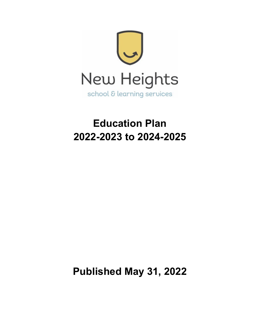

# **Education Plan 2022-2023 to 2024-2025**

**Published May 31, 2022**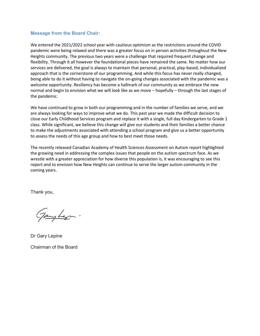# **Message from the Board Chair:**

We entered the 2021/2022 school year with cautious optimism as the restrictions around the COVID pandemic were being relaxed and there was a greater focus on in person activities throughout the New Heights community. The previous two years were a challenge that required frequent change and flexibility. Through it all however the foundational pieces have remained the same. No matter how our services are delivered, the goal is always to maintain that personal, practical, play-based, individualized approach that is the cornerstone of our programming. And while this focus has never really changed, being able to do it without having to navigate the on-going changes associated with the pandemic was a welcome opportunity. Resiliency has become a hallmark of our community as we embrace the new normal and begin to envision what we will look like as we move – hopefully – through the last stages of the pandemic.

We have continued to grow in both our programming and in the number of families we serve, and we are always looking for ways to improve what we do. This past year we made the difficult decision to close our Early Childhood Services program and replace it with a single, full day Kindergarten to Grade 1 class. While significant, we believe this change will give our students and their families a better chance to make the adjustments associated with attending a school program and give us a better opportunity to assess the needs of this age group and how to best meet those needs.

The recently released Canadian Academy of Health Sciences Assessment on Autism report highlighted the growing need in addressing the complex issues that people on the autism spectrum face. As we wrestle with a greater appreciation for how diverse this population is, it was encouraging to see this report and to envision how New Heights can continue to serve the larger autism community in the coming years.

Thank you,

Jaugher.

Dr Gary Lepine

Chairman of the Board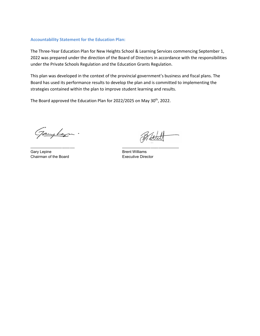#### **Accountability Statement for the Education Plan:**

The Three-Year Education Plan for New Heights School & Learning Services commencing September 1, 2022 was prepared under the direction of the Board of Directors in accordance with the responsibilities under the Private Schools Regulation and the Education Grants Regulation.

This plan was developed in the context of the provincial government's business and fiscal plans. The Board has used its performance results to develop the plan and is committed to implementing the strategies contained within the plan to improve student learning and results.

The Board approved the Education Plan for 2022/2025 on May 30<sup>th</sup>, 2022.

Janybegn.

\_\_\_\_\_\_\_\_\_\_\_\_\_\_\_\_\_\_\_\_\_\_\_\_\_\_\_\_ \_\_\_\_\_\_\_\_\_\_\_\_\_\_\_\_\_\_\_\_\_\_\_\_\_\_\_\_\_\_\_\_\_\_\_\_ Gary Lepine **Brent Williams** Brent Williams Chairman of the Board **Executive Director**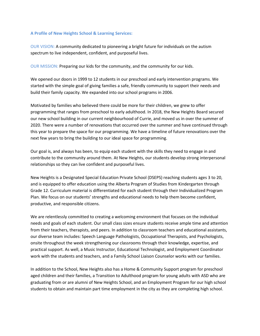#### **A Profile of New Heights School & Learning Services:**

OUR VISION: A community dedicated to pioneering a bright future for individuals on the autism spectrum to live independent, confident, and purposeful lives.

OUR MISSION: Preparing our kids for the community, and the community for our kids.

We opened our doors in 1999 to 12 students in our preschool and early intervention programs. We started with the simple goal of giving families a safe, friendly community to support their needs and build their family capacity. We expanded into our school programs in 2006.

Motivated by families who believed there could be more for their children, we grew to offer programming that ranges from preschool to early adulthood. In 2018, the New Heights Board secured our new school building in our current neighbourhood of Currie, and moved us in over the summer of 2020. There were a number of renovations that occurred over the summer and have continued through this year to prepare the space for our programming. We have a timeline of future renovations over the next few years to bring the building to our ideal space for programming.

Our goal is, and always has been, to equip each student with the skills they need to engage in and contribute to the community around them. At New Heights, our students develop strong interpersonal relationships so they can live confident and purposeful lives.

New Heights is a Designated Special Education Private School (DSEPS) reaching students ages 3 to 20, and is equipped to offer education using the Alberta Program of Studies from Kindergarten through Grade 12. Curriculum material is differentiated for each student through their Individualized Program Plan. We focus on our students' strengths and educational needs to help them become confident, productive, and responsible citizens.

We are relentlessly committed to creating a welcoming environment that focuses on the individual needs and goals of each student. Our small class sizes ensure students receive ample time and attention from their teachers, therapists, and peers. In addition to classroom teachers and educational assistants, our diverse team includes: Speech Language Pathologists, Occupational Therapists, and Psychologists, onsite throughout the week strengthening our classrooms through their knowledge, expertise, and practical support. As well, a Music Instructor, Educational Technologist, and Employment Coordinator work with the students and teachers, and a Family School Liaison Counselor works with our families.

In addition to the School, New Heights also has a Home & Community Support program for preschool aged children and their families, a Transition to Adulthood program for young adults with ASD who are graduating from or are alumni of New Heights School, and an Employment Program for our high school students to obtain and maintain part time employment in the city as they are completing high school.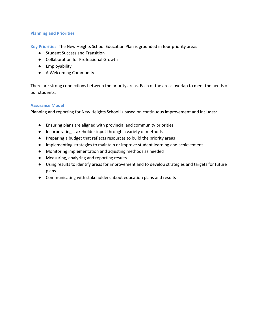## **Planning and Priorities**

**Key Priorities:** The New Heights School Education Plan is grounded in four priority areas

- Student Success and Transition
- Collaboration for Professional Growth
- Employability
- A Welcoming Community

There are strong connections between the priority areas. Each of the areas overlap to meet the needs of our students.

## **Assurance Model**

Planning and reporting for New Heights School is based on continuous improvement and includes:

- Ensuring plans are aligned with provincial and community priorities
- Incorporating stakeholder input through a variety of methods
- Preparing a budget that reflects resources to build the priority areas
- Implementing strategies to maintain or improve student learning and achievement
- Monitoring implementation and adjusting methods as needed
- Measuring, analyzing and reporting results
- Using results to identify areas for improvement and to develop strategies and targets for future plans
- Communicating with stakeholders about education plans and results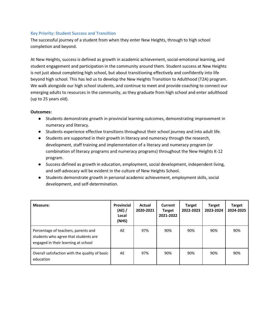## **Key Priority: Student Success and Transition**

The successful journey of a student from when they enter New Heights, through to high school completion and beyond.

At New Heights, success is defined as growth in academic achievement, social-emotional learning, and student engagement and participation in the community around them. Student success at New Heights is not just about completing high school, but about transitioning effectively and confidently into life beyond high school. This has led us to develop the New Heights Transition to Adulthood (T2A) program. We walk alongside our high school students, and continue to meet and provide coaching to connect our emerging adults to resources in the community, as they graduate from high school and enter adulthood (up to 25 years old).

- Students demonstrate growth in provincial learning outcomes, demonstrating improvement in numeracy and literacy.
- Students experience effective transitions throughout their school journey and into adult life.
- Students are supported in their growth in literacy and numeracy through the research, development, staff training and implementation of a literacy and numeracy program (or combination of literacy programs and numeracy programs) throughout the New Heights K-12 program.
- Success defined as growth in education, employment, social development, independent living, and self-advocacy will be evident in the culture of New Heights School.
- Students demonstrate growth in personal academic achievement, employment skills, social development, and self-determination.

| Measure:                                                                                                           | Provincial<br>(AE) /<br>Local<br>(NHS) | Actual<br>2020-2021 | Current<br><b>Target</b><br>2021-2022 | <b>Target</b><br>2022-2023 | <b>Target</b><br>2023-2024 | <b>Target</b><br>2024-2025 |
|--------------------------------------------------------------------------------------------------------------------|----------------------------------------|---------------------|---------------------------------------|----------------------------|----------------------------|----------------------------|
| Percentage of teachers, parents and<br>students who agree that students are<br>engaged in their learning at school | AE                                     | 97%                 | 90%                                   | 90%                        | 90%                        | 90%                        |
| Overall satisfaction with the quality of basic<br>education                                                        | AE                                     | 97%                 | 90%                                   | 90%                        | 90%                        | 90%                        |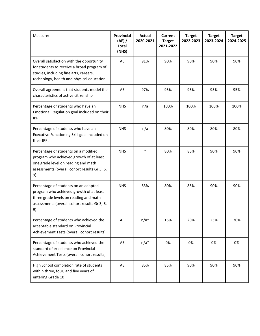| Measure:                                                                                                                                                                        | <b>Provincial</b><br>(AE) /<br>Local<br>(NHS) | Actual<br>2020-2021 | <b>Current</b><br><b>Target</b><br>2021-2022 | <b>Target</b><br>2022-2023 | <b>Target</b><br>2023-2024 | <b>Target</b><br>2024-2025 |
|---------------------------------------------------------------------------------------------------------------------------------------------------------------------------------|-----------------------------------------------|---------------------|----------------------------------------------|----------------------------|----------------------------|----------------------------|
| Overall satisfaction with the opportunity<br>for students to receive a broad program of<br>studies, including fine arts, careers,<br>technology, health and physical education  | AE                                            | 91%                 | 90%                                          | 90%                        | 90%                        | 90%                        |
| Overall agreement that students model the<br>characteristics of active citizenship                                                                                              | AE                                            | 97%                 | 95%                                          | 95%                        | 95%                        | 95%                        |
| Percentage of students who have an<br>Emotional Regulation goal included on their<br>IPP.                                                                                       | <b>NHS</b>                                    | n/a                 | 100%                                         | 100%                       | 100%                       | 100%                       |
| Percentage of students who have an<br>Executive Functioning Skill goal included on<br>their IPP.                                                                                | <b>NHS</b>                                    | n/a                 | 80%                                          | 80%                        | 80%                        | 80%                        |
| Percentage of students on a modified<br>program who achieved growth of at least<br>one grade level on reading and math<br>assessments (overall cohort results Gr 3, 6,<br>9)    | <b>NHS</b>                                    | $\ast$              | 80%                                          | 85%                        | 90%                        | 90%                        |
| Percentage of students on an adapted<br>program who achieved growth of at least<br>three grade levels on reading and math<br>assessments (overall cohort results Gr 3, 6,<br>9) | <b>NHS</b>                                    | 83%                 | 80%                                          | 85%                        | 90%                        | 90%                        |
| Percentage of students who achieved the<br>acceptable standard on Provincial<br>Achievement Tests (overall cohort results)                                                      | AE                                            | $n/a*$              | 15%                                          | 20%                        | 25%                        | 30%                        |
| Percentage of students who achieved the<br>standard of excellence on Provincial<br>Achievement Tests (overall cohort results)                                                   | AE                                            | $n/a*$              | 0%                                           | 0%                         | 0%                         | 0%                         |
| High School completion rate of students<br>within three, four, and five years of<br>entering Grade 10                                                                           | AE                                            | 85%                 | 85%                                          | 90%                        | 90%                        | 90%                        |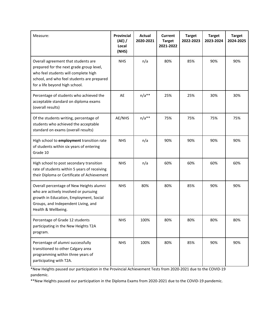| Measure:                                                                                                                                                                                                | <b>Provincial</b><br>$(AE)$ /<br>Local<br>(NHS) | Actual<br>2020-2021 | <b>Current</b><br><b>Target</b><br>2021-2022 | <b>Target</b><br>2022-2023 | <b>Target</b><br>2023-2024 | <b>Target</b><br>2024-2025 |
|---------------------------------------------------------------------------------------------------------------------------------------------------------------------------------------------------------|-------------------------------------------------|---------------------|----------------------------------------------|----------------------------|----------------------------|----------------------------|
| Overall agreement that students are<br>prepared for the next grade group level,<br>who feel students will complete high<br>school, and who feel students are prepared<br>for a life beyond high school. | <b>NHS</b>                                      | n/a                 | 80%                                          | 85%                        | 90%                        | 90%                        |
| Percentage of students who achieved the<br>acceptable standard on diploma exams<br>(overall results)                                                                                                    | AE                                              | $n/a**$             | 25%                                          | 25%                        | 30%                        | 30%                        |
| Of the students writing, percentage of<br>students who achieved the acceptable<br>standard on exams (overall results)                                                                                   | AE/NHS                                          | $n/a**$             | 75%                                          | 75%                        | 75%                        | 75%                        |
| High school to employment transition rate<br>of students within six years of entering<br>Grade 10                                                                                                       | <b>NHS</b>                                      | n/a                 | 90%                                          | 90%                        | 90%                        | 90%                        |
| High school to post secondary transition<br>rate of students within 5 years of receiving<br>their Diploma or Certificate of Achievement                                                                 | <b>NHS</b>                                      | n/a                 | 60%                                          | 60%                        | 60%                        | 60%                        |
| Overall percentage of New Heights alumni<br>who are actively involved or pursuing<br>growth in Education, Employment, Social<br>Groups, and Independent Living, and<br>Health & Wellbeing.              | <b>NHS</b>                                      | 80%                 | 80%                                          | 85%                        | 90%                        | 90%                        |
| Percentage of Grade 12 students<br>participating in the New Heights T2A<br>program.                                                                                                                     | <b>NHS</b>                                      | 100%                | 80%                                          | 80%                        | 80%                        | 80%                        |
| Percentage of alumni successfully<br>transitioned to other Calgary area<br>programming within three years of<br>participating with T2A.                                                                 | <b>NHS</b>                                      | 100%                | 80%                                          | 85%                        | 90%                        | 90%                        |

\*New Heights paused our participation in the Provincial Achievement Tests from 2020-2021 due to the COVID-19 pandemic.

\*\*New Heights paused our participation in the Diploma Exams from 2020-2021 due to the COVID-19 pandemic.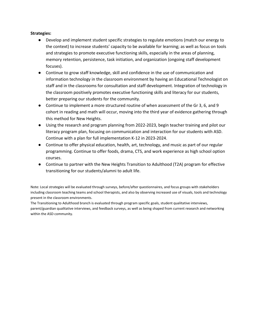## **Strategies:**

- Develop and implement student specific strategies to regulate emotions (match our energy to the context) to increase students' capacity to be available for learning; as well as focus on tools and strategies to promote executive functioning skills, especially in the areas of planning, memory retention, persistence, task initiation, and organization (ongoing staff development focuses).
- Continue to grow staff knowledge, skill and confidence in the use of communication and information technology in the classroom environment by having an Educational Technologist on staff and in the classrooms for consultation and staff development. Integration of technology in the classroom positively promotes executive functioning skills and literacy for our students, better preparing our students for the community.
- Continue to implement a more structured routine of when assessment of the Gr 3, 6, and 9 cohort in reading and math will occur, moving into the third year of evidence gathering through this method for New Heights.
- Using the research and program planning from 2022-2023, begin teacher training and pilot our literacy program plan, focusing on communication and interaction for our students with ASD. Continue with a plan for full implementation K-12 in 2023-2024.
- Continue to offer physical education, health, art, technology, and music as part of our regular programming. Continue to offer foods, drama, CTS, and work experience as high school option courses.
- Continue to partner with the New Heights Transition to Adulthood (T2A) program for effective transitioning for our students/alumni to adult life.

Note: Local strategies will be evaluated through surveys, before/after questionnaires, and focus groups with stakeholders including classroom teaching teams and school therapists, and also by observing increased use of visuals, tools and technology present in the classroom environments.

The Transitioning to Adulthood branch is evaluated through program specific goals, student qualitative interviews, parent/guardian qualitative interviews, and feedback surveys, as well as being shaped from current research and networking within the ASD community.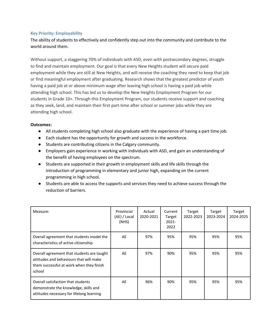# **Key Priority: Employability**

The ability of students to effectively and confidently step out into the community and contribute to the world around them.

Without support, a staggering 70% of individuals with ASD, even with postsecondary degrees, struggle to find and maintain employment. Our goal is that every New Heights student will secure paid employment while they are still at New Heights, and will receive the coaching they need to keep that job or find meaningful employment after graduating. Research shows that the greatest predictor of youth having a paid job at or above minimum wage after leaving high school is having a paid job while attending high school. This has led us to develop the New Heights Employment Program for our students in Grade 10+. Through this Employment Program, our students receive support and coaching as they seek, land, and maintain their first part-time after school or summer jobs while they are attending high school.

- All students completing high school also graduate with the experience of having a part time job.
- Each student has the opportunity for growth and success in the workforce.
- Students are contributing citizens in the Calgary community.
- Employers gain experience in working with individuals with ASD, and gain an understanding of the benefit of having employees on the spectrum.
- Students are supported in their growth in employment skills and life skills through the introduction of programming in elementary and junior high, expanding on the current programming in high school.
- Students are able to access the supports and services they need to achieve success through the reduction of barriers.

| Measure:                                                                                                                                    | Provincial<br>(AE) / Local<br>(NHS) | Actual<br>2020-2021 | Current<br>Target<br>2021-<br>2022 | Target<br>2022-2023 | Target<br>2023-2024 | Target<br>2024-2025 |
|---------------------------------------------------------------------------------------------------------------------------------------------|-------------------------------------|---------------------|------------------------------------|---------------------|---------------------|---------------------|
| Overall agreement that students model the<br>characteristics of active citizenship                                                          | AE                                  | 97%                 | 95%                                | 95%                 | 95%                 | 95%                 |
| Overall agreement that students are taught<br>attitudes and behaviours that will make<br>them successful at work when they finish<br>school | AE                                  | 97%                 | 90%                                | 95%                 | 95%                 | 95%                 |
| Overall satisfaction that students<br>demonstrate the knowledge, skills and<br>attitudes necessary for lifelong learning                    | AE                                  | 96%                 | 90%                                | 95%                 | 95%                 | 95%                 |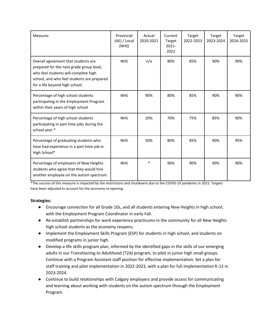| Measure:                                                                                                                                                                                                | Provincial<br>(AE) / Local<br>(NHS) | Actual<br>2020-2021 | Current<br>Target<br>$2021 -$<br>2022 | Target<br>2022-2023 | Target<br>2023-2024 | Target<br>2024-2025 |
|---------------------------------------------------------------------------------------------------------------------------------------------------------------------------------------------------------|-------------------------------------|---------------------|---------------------------------------|---------------------|---------------------|---------------------|
| Overall agreement that students are<br>prepared for the next grade group level,<br>who feel students will complete high<br>school, and who feel students are prepared<br>for a life beyond high school. | <b>NHS</b>                          | n/a                 | 80%                                   | 85%                 | 90%                 | 90%                 |
| Percentage of high school students<br>participating in the Employment Program<br>within their years of high school                                                                                      | <b>NHS</b>                          | 90%                 | 80%                                   | 85%                 | 90%                 | 90%                 |
| Percentage of high school students<br>participating in part time jobs during the<br>school year.*                                                                                                       | <b>NHS</b>                          | 20%                 | 70%                                   | 75%                 | 85%                 | 90%                 |
| Percentage of graduating students who<br>have had experience in a part-time job in<br>High School*                                                                                                      | <b>NHS</b>                          | 50%                 | 80%                                   | 85%                 | 90%                 | 95%                 |
| Percentage of employers of New Heights<br>students who agree that they would hire<br>another employee on the autism spectrum.                                                                           | <b>NHS</b>                          | $\ast$              | 90%                                   | 90%                 | 90%                 | 90%                 |

\*The success of this measure is impacted by the restrictions and shutdowns due to the COVID-19 pandemic in 2021. Targets have been adjusted to account for the economy re-opening.

# **Strategies:**

- Encourage connection for all Grade 10s, and all students entering New Heights in high school, with the Employment Program Coordinator in early Fall.
- Re-establish partnerships for work experience practicums in the community for all New Heights high school students as the economy reopens.
- Implement the Employment Skills Program (ESP) for students in high school, and students on modified programs in junior high.
- Develop a life skills program plan, informed by the identified gaps in the skills of our emerging adults in our Transitioning to Adulthood (T2A) program, to pilot in junior high small groups. Continue with a Program Assistant staff position for effective implementation. Set a plan for staff training and pilot implementation in 2022-2023, with a plan for full implementation K-12 in 2023-2024.
- Continue to build relationships with Calgary employers and provide access for communicating and learning about working with students on the autism spectrum through the Employment Program.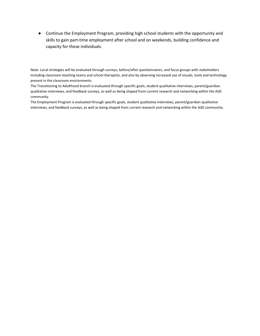● Continue the Employment Program, providing high school students with the opportunity and skills to gain part-time employment after school and on weekends, building confidence and capacity for these individuals.

Note: Local strategies will be evaluated through surveys, before/after questionnaires, and focus groups with stakeholders including classroom teaching teams and school therapists, and also by observing increased use of visuals, tools and technology present in the classroom environments.

The Transitioning to Adulthood branch is evaluated through specific goals, student qualitative interviews, parent/guardian qualitative interviews, and feedback surveys, as well as being shaped from current research and networking within the ASD community.

The Employment Program is evaluated through specific goals, student qualitative interviews, parent/guardian qualitative interviews, and feedback surveys, as well as being shaped from current research and networking within the ASD community.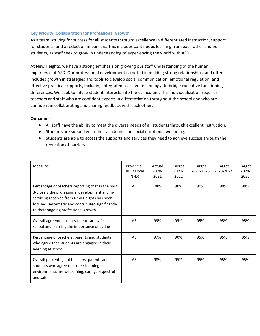## **Key Priority: Collaboration for Professional Growth**

As a team, striving for success for all students through: excellence in differentiated instruction, support for students, and a reduction in barriers. This includes continuous learning from each other and our students, as staff seek to grow in understanding of experiencing the world with ASD.

At New Heights, we have a strong emphasis on growing our staff understanding of the human experience of ASD. Our professional development is rooted in building strong relationships, and often includes growth in strategies and tools to develop social communication, emotional regulation, and effective practical supports, including integrated assistive technology, to bridge executive functioning differences. We seek to infuse student interests into the curriculum. This individualization requires teachers and staff who are confident experts in differentiation throughout the school and who are confident in collaborating and sharing feedback with each other.

- All staff have the ability to meet the diverse needs of all students through excellent instruction.
- Students are supported in their academic and social emotional wellbeing.
- Students are able to access the supports and services they need to achieve success through the reduction of barriers.

| Measure:                                                                                                                                                                                                                                          | Provincial<br>(AE) / Local<br>(NHS) | Actual<br>2020-<br>2021 | Target<br>$2021 -$<br>2022 | Target<br>2022-2023 | Target<br>2023-2024 | Target<br>2024-<br>2025 |
|---------------------------------------------------------------------------------------------------------------------------------------------------------------------------------------------------------------------------------------------------|-------------------------------------|-------------------------|----------------------------|---------------------|---------------------|-------------------------|
| Percentage of teachers reporting that in the past<br>3-5 years the professional development and in-<br>servicing received from New Heights has been<br>focused, systematic and contributed significantly<br>to their ongoing professional growth. | AE                                  | 100%                    | 90%                        | 90%                 | 90%                 | 90%                     |
| Overall agreement that students are safe at<br>school and learning the importance of caring                                                                                                                                                       | AE                                  | 99%                     | 95%                        | 95%                 | 95%                 | 95%                     |
| Percentage of teachers, parents and students<br>who agree that students are engaged in their<br>learning at school                                                                                                                                | AE                                  | 97%                     | 90%                        | 95%                 | 95%                 | 95%                     |
| Overall percentage of teachers, parents and<br>students who agree that their learning<br>environments are welcoming, caring, respectful<br>and safe.                                                                                              | AE                                  | 98%                     | 95%                        | 95%                 | 95%                 | 95%                     |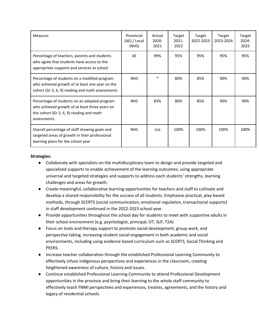| Measure:                                                                                                                                                  | Provincial<br>(AE) / Local<br>(NHS) | Actual<br>2020-<br>2021 | Target<br>$2021 -$<br>2022 | Target<br>2022-2023 | Target<br>2023-2024 | Target<br>2024-<br>2025 |
|-----------------------------------------------------------------------------------------------------------------------------------------------------------|-------------------------------------|-------------------------|----------------------------|---------------------|---------------------|-------------------------|
| Percentage of teachers, parents and students<br>who agree that students have access to the<br>appropriate supports and services at school                 | AE                                  | 99%                     | 95%                        | 95%                 | 95%                 | 95%                     |
| Percentage of students on a modified program<br>who achieved growth of at least one year on the<br>cohort (Gr 3, 6, 9) reading and math assessments       | <b>NHS</b>                          | $\ast$                  | 80%                        | 85%                 | 90%                 | 90%                     |
| Percentage of students on an adapted program<br>who achieved growth of at least three years on<br>the cohort (Gr 3, 6, 9) reading and math<br>assessments | <b>NHS</b>                          | 83%                     | 80%                        | 85%                 | 90%                 | 90%                     |
| Overall percentage of staff showing goals and<br>targeted areas of growth in their professional<br>learning plans for the school year                     | <b>NHS</b>                          | n/a                     | 100%                       | 100%                | 100%                | 100%                    |

## **Strategies:**

- Collaborate with specialists on the multidisciplinary team to design and provide targeted and specialized supports to enable achievement of the learning outcomes; using appropriate universal and targeted strategies and supports to address each students' strengths, learning challenges and areas for growth.
- Create meaningful, collaborative learning opportunities for teachers and staff to cultivate and develop a shared responsibility for the success of all students. Emphasize practical, play-based methods, through SCERTS (social communication, emotional regulation, transactional supports) in staff development continued in the 2022-2023 school year.
- Provide opportunities throughout the school day for students to meet with supportive adults in their school environment (e.g. psychologist, principal, OT, SLP, T2A)
- Focus on tools and therapy support to promote social development, group work, and perspective taking, increasing student social engagement in both academic and social environments, including using evidence based curriculum such as SCERTS, Social Thinking and PEERS.
- Increase teacher collaboration through the established Professional Learning Community to effectively infuse indigenous perspectives and experiences in the classroom, creating heightened awareness of culture, history and issues.
- Continue established Professional Learning Community to attend Professional Development opportunities in the province and bring their learning to the whole staff community to effectively teach FNMI perspectives and experiences, treaties, agreements, and the history and legacy of residential schools.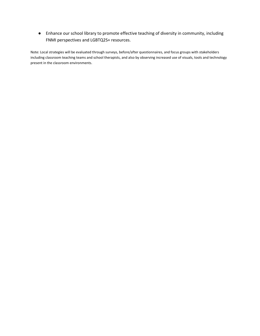● Enhance our school library to promote effective teaching of diversity in community, including FNMI perspectives and LGBTQ2S+ resources.

Note: Local strategies will be evaluated through surveys, before/after questionnaires, and focus groups with stakeholders including classroom teaching teams and school therapists, and also by observing increased use of visuals, tools and technology present in the classroom environments.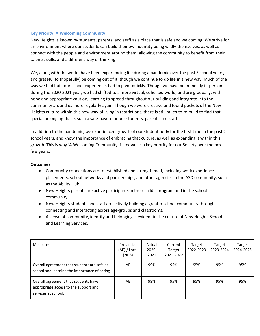# **Key Priority: A Welcoming Community**

New Heights is known by students, parents, and staff as a place that is safe and welcoming. We strive for an environment where our students can build their own identity being wildly themselves, as well as connect with the people and environment around them; allowing the community to benefit from their talents, skills, and a different way of thinking.

We, along with the world, have been experiencing life during a pandemic over the past 3 school years, and grateful to (hopefully) be coming out of it, though we continue to do life in a new way. Much of the way we had built our school experience, had to pivot quickly. Though we have been mostly in-person during the 2020-2021 year, we had shifted to a more virtual, cohorted world, and are gradually, with hope and appropriate caution, learning to spread throughout our building and integrate into the community around us more regularly again. Though we were creative and found pockets of the New Heights culture within this new way of living in restrictions, there is still much to re-build to find that special belonging that is such a safe-haven for our students, parents and staff.

In addition to the pandemic, we experienced growth of our student body for the first time in the past 2 school years, and know the importance of embracing that culture, as well as expanding it within this growth. This is why 'A Welcoming Community' is known as a key priority for our Society over the next few years.

- Community connections are re-established and strengthened, including work experience placements, school networks and partnerships, and other agencies in the ASD community, such as the Ability Hub.
- New Heights parents are active participants in their child's program and in the school community.
- New Heights students and staff are actively building a greater school community through connecting and interacting across age-groups and classrooms.
- A sense of community, identity and belonging is evident in the culture of New Heights School and Learning Services.

| Measure:                                                                                             | Provincial<br>(AE) / Local<br>(NHS) | Actual<br>2020-<br>2021 | Current<br>Target<br>2021-2022 | Target<br>2022-2023 | Target<br>2023-2024 | Target<br>2024-2025 |
|------------------------------------------------------------------------------------------------------|-------------------------------------|-------------------------|--------------------------------|---------------------|---------------------|---------------------|
| Overall agreement that students are safe at<br>school and learning the importance of caring          | AE                                  | 99%                     | 95%                            | 95%                 | 95%                 | 95%                 |
| Overall agreement that students have<br>appropriate access to the support and<br>services at school. | AE                                  | 99%                     | 95%                            | 95%                 | 95%                 | 95%                 |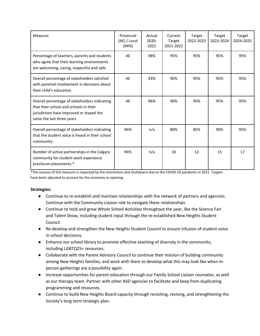| Measure:                                                                                                                                                         | Provincial<br>(AE) / Local<br>(NHS) | Actual<br>2020-<br>2021 | Current<br>Target<br>2021-2022 | Target<br>2022-2023 | Target<br>2023-2024 | Target<br>2024-2025 |
|------------------------------------------------------------------------------------------------------------------------------------------------------------------|-------------------------------------|-------------------------|--------------------------------|---------------------|---------------------|---------------------|
| Percentage of teachers, parents and students<br>who agree that their learning environments<br>are welcoming, caring, respectful and safe.                        | AE                                  | 98%                     | 95%                            | 95%                 | 95%                 | 95%                 |
| Overall percentage of stakeholders satisfied<br>with parental involvement in decisions about<br>their child's education.                                         | AE                                  | 93%                     | 90%                            | 95%                 | 95%                 | 95%                 |
| Overall percentage of stakeholders indicating<br>that their school and schools in their<br>jurisdiction have improved or stayed the<br>same the last three years | AE                                  | 96%                     | 90%                            | 95%                 | 95%                 | 95%                 |
| Overall percentage of stakeholders indicating<br>that the student voice is heard in their school<br>community.                                                   | <b>NHS</b>                          | n/a                     | 80%                            | 85%                 | 90%                 | 95%                 |
| Number of active partnerships in the Calgary<br>community for student work experience<br>practicum placements.*                                                  | <b>NHS</b>                          | n/a                     | 10                             | 12                  | 15                  | 17                  |

\*The success of this measure is impacted by the restrictions and shutdowns due to the COVID-19 pandemic in 2021. Targets have been adjusted to account for the economy re-opening.

# **Strategies:**

- Continue to re-establish and maintain relationships with the network of partners and agencies. Continue with the Community Liaison role to navigate these relationships
- Continue to hold and grow Whole School Activities throughout the year, like the Science Fair and Talent Show, including student input through the re-established New Heights Student Council.
- Re-develop and strengthen the New Heights Student Council to ensure infusion of student voice in school decisions.
- Enhance our school library to promote effective teaching of diversity in the community, including LGBTQ2S+ resources.
- Collaborate with the Parent Advisory Council to continue their mission of building community among New Heights families, and work with them to develop what this may look like when inperson gatherings are a possibility again.
- Increase opportunities for parent education through our Family School Liaison counselor, as well as our therapy team. Partner with other ASD agencies to facilitate and keep from duplicating programming and resources.
- Continue to build New Heights Board capacity through revisiting, revising, and strengthening the Society's long term strategic plan.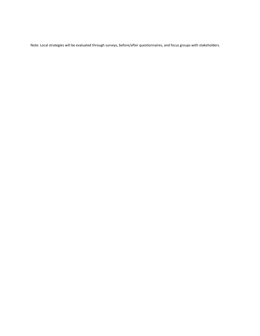Note: Local strategies will be evaluated through surveys, before/after questionnaires, and focus groups with stakeholders.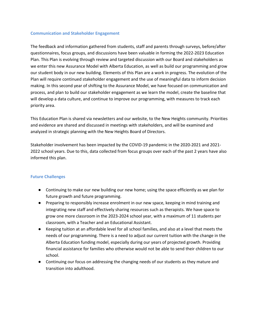#### **Communication and Stakeholder Engagement**

The feedback and information gathered from students, staff and parents through surveys, before/after questionnaires, focus groups, and discussions have been valuable in forming the 2022-2023 Education Plan. This Plan is evolving through review and targeted discussion with our Board and stakeholders as we enter this new Assurance Model with Alberta Education, as well as build our programming and grow our student body in our new building. Elements of this Plan are a work in progress. The evolution of the Plan will require continued stakeholder engagement and the use of meaningful data to inform decision making. In this second year of shifting to the Assurance Model, we have focused on communication and process, and plan to build our stakeholder engagement as we learn the model, create the baseline that will develop a data culture, and continue to improve our programming, with measures to track each priority area.

This Education Plan is shared via newsletters and our website, to the New Heights community. Priorities and evidence are shared and discussed in meetings with stakeholders, and will be examined and analyzed in strategic planning with the New Heights Board of Directors.

Stakeholder involvement has been impacted by the COVID-19 pandemic in the 2020-2021 and 2021- 2022 school years. Due to this, data collected from focus groups over each of the past 2 years have also informed this plan.

## **Future Challenges**

- Continuing to make our new building our new home; using the space efficiently as we plan for future growth and future programming.
- Preparing to responsibly increase enrolment in our new space, keeping in mind training and integrating new staff and effectively sharing resources such as therapists. We have space to grow one more classroom in the 2023-2024 school year, with a maximum of 11 students per classroom, with a Teacher and an Educational Assistant.
- Keeping tuition at an affordable level for all school families, and also at a level that meets the needs of our programming. There is a need to adjust our current tuition with the change in the Alberta Education funding model, especially during our years of projected growth. Providing financial assistance for families who otherwise would not be able to send their children to our school.
- Continuing our focus on addressing the changing needs of our students as they mature and transition into adulthood.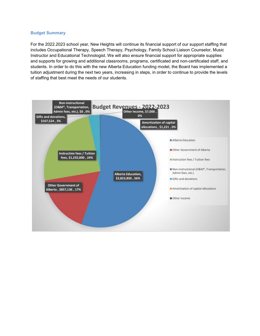#### **Budget Summary**

For the 2022.2023 school year, New Heights will continue its financial support of our support staffing that includes Occupational Therapy, Speech Therapy, Psychology, Family School Liaison Counselor, Music Instructor and Educational Technologist. We will also ensure financial support for appropriate supplies and supports for growing and additional classrooms, programs, certificated and non-certificated staff, and students. In order to do this with the new Alberta Education funding model, the Board has implemented a tuition adjustment during the next two years, increasing in steps, in order to continue to provide the levels of staffing that best meet the needs of our students.